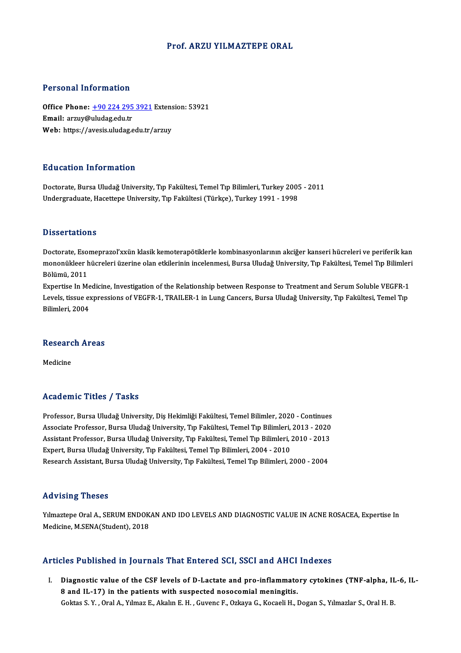### Prof. ARZU YILMAZTEPE ORAL

### Personal Information

Personal Information<br>Office Phone: <u>+90 224 295 3921</u> Extension: 53921<br>Email: arguy@uludag.edu.tr Processing information<br>Office Phone: <u>+90 224 295</u><br>Email: arzuy@uludag.edu.tr Office Phone: <u>+90 224 295 3921</u> Extens<br>Email: arzuy@uludag.edu.tr<br>Web: https://a[vesis.uludag.edu.tr/](tel:+90 224 295 3921)arzuy Web: https://avesis.uludag.edu.tr/arzuy<br>Education Information

Doctorate, Bursa Uludağ University, Tıp Fakültesi, Temel Tıp Bilimleri, Turkey 2005 - 2011 Undergraduate, Hacettepe University, Tıp Fakültesi (Türkçe), Turkey 1991 - 1998

### **Dissertations**

Doctorate, Esomeprazol'xxün klasik kemoterapötiklerle kombinasyonlarının akciğer kanseri hücreleri ve periferik kan D'isser tatreffis<br>Doctorate, Esomeprazol'xxün klasik kemoterapötiklerle kombinasyonlarının akciğer kanseri hücreleri ve periferik kan<br>Dölümü 2011 Doctorate, Eso<br>mononükleer l<br>Bölümü, 2011<br>Evnortice In M mononükleer hücreleri üzerine olan etkilerinin incelenmesi, Bursa Uludağ University, Tıp Fakültesi, Temel Tıp Bilimler<br>Bölümü, 2011<br>Expertise In Medicine, Investigation of the Relationship between Response to Treatment and

Bölümü, 2011<br>Expertise In Medicine, Investigation of the Relationship between Response to Treatment and Serum Soluble VEGFR-1<br>Levels, tissue expressions of VEGFR-1, TRAILER-1 in Lung Cancers, Bursa Uludağ University, Tıp F Expertise In Me<br>Levels, tissue ex<br>Bilimleri, 2004

## Buimieri, 2004<br>Research Areas <mark>Resear</mark>c<br><sub>Medicine</sub>

# Medicine<br>Academic Titles / Tasks

Professor, Bursa Uludağ University, Diş Hekimliği Fakültesi, Temel Bilimler, 2020 - Continues Associate Articus 7 Austis<br>Professor, Bursa Uludağ University, Diş Hekimliği Fakültesi, Temel Bilimler, 2020 - Continues<br>Associate Professor, Bursa Uludağ University, Tıp Fakültesi, Temel Tıp Bilimleri, 2013 - 2020<br>Assista Professor, Bursa Uludağ University, Diş Hekimliği Fakültesi, Temel Bilimler, 2020 - Continues<br>Associate Professor, Bursa Uludağ University, Tıp Fakültesi, Temel Tıp Bilimleri, 2013 - 2020<br>Assistant Professor, Bursa Uludağ Associate Professor, Bursa Uludağ University, Tıp Fakültesi, Temel Tıp Bilimleri,<br>Assistant Professor, Bursa Uludağ University, Tıp Fakültesi, Temel Tıp Bilimleri, .<br>2004 - 2010 - 2010 - Propel Burga Uludağ University, Tıp Assistant Professor, Bursa Uludağ University, Tıp Fakültesi, Temel Tıp Bilimleri, 2010 - 2013<br>Expert, Bursa Uludağ University, Tıp Fakültesi, Temel Tıp Bilimleri, 2004 - 2010<br>Research Assistant, Bursa Uludağ University, Tı

### Advising Theses

Advising Theses<br>Yılmaztepe Oral A., SERUM ENDOKAN AND IDO LEVELS AND DIAGNOSTIC VALUE IN ACNE ROSACEA, Expertise In<br>Medisine M.SENA(Student), 2019 rra viering i neeee<br>Yilmaztepe Oral A., SERUM ENDOK<br>Medicine, M.SENA(Student), 2018

## Medicine, M.SENA(Student), 2018<br>Articles Published in Journals That Entered SCI, SSCI and AHCI Indexes

I. Diagnostic value of the CSF levels of D-Lactate and pro-inflammatory cytokines (TNF-alpha, IL-6, IL-<br>I. Diagnostic value of the CSF levels of D-Lactate and pro-inflammatory cytokines (TNF-alpha, IL-6, IL-8 and U Biagnostic value of the CSF levels of D-Lactate and pro-inflammato<br>8 and IL-17) in the patients with suspected nosocomial meningitis.<br>Coltre S.V. Oral A. Vilmer E. Alrain E.H. Curena E. Orkara C. Vosnali H. L Diagnostic value of the CSF levels of D-Lactate and pro-inflammatory cytokines (TNF-alpha, II<br>8 and IL-17) in the patients with suspected nosocomial meningitis.<br>Goktas S.Y. , Oral A., Yılmaz E., Akalın E. H. , Guvenc F., O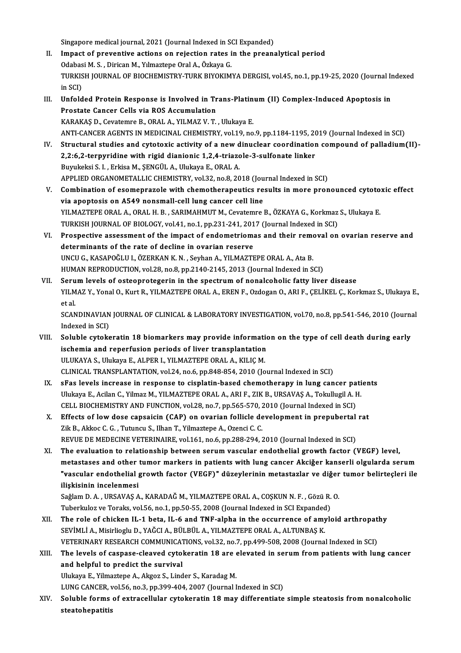Singapore medical journal, 2021 (Journal Indexed in SCI Expanded)<br>Impact of proventive estiens on rejection rates in the presp;

- II. Impact of preventive actions on rejection rates in the preanalytical period Odabasi M. S., Dirican M., Yilmaztepe Oral A., Özkaya G. Singapore medical journal, 2021 (Journal Indexed in St<br>Impact of preventive actions on rejection rates i<br>Odabasi M. S. , Dirican M., Yılmaztepe Oral A., Özkaya G.<br>TURKISH JOURNAL OF PIOCHEMISTRY TURK RIVOKIM Impact of preventive actions on rejection rates in the preanalytical period<br>Odabasi M. S. , Dirican M., Yılmaztepe Oral A., Özkaya G.<br>TURKISH JOURNAL OF BIOCHEMISTRY-TURK BIYOKIMYA DERGISI, vol.45, no.1, pp.19-25, 2020 (Jo Odabas<br>TURKIS<br>in SCI)<br>Unfold TURKISH JOURNAL OF BIOCHEMISTRY-TURK BIYOKIMYA DERGISI, vol.45, no.1, pp.19-25, 2020 (Journal In<br>in SCI)<br>III. Unfolded Protein Response is Involved in Trans-Platinum (II) Complex-Induced Apoptosis in<br>Prostate Capcar Colleg
- in SCI)<br>Unfolded Protein Response is Involved in Tr<br>Prostate Cancer Cells via ROS Accumulation<br>KARAKAS D. Covatemre B. ORAL A. VILMAZ V. T. Unfolded Protein Response is Involved in Trans-Platin<br>Prostate Cancer Cells via ROS Accumulation<br>KARAKAŞ D., Cevatemre B., ORAL A., YILMAZ V. T. , Ulukaya E.<br>ANTI CANCER ACENTS IN MEDICINAL CHEMISTRY VOL19 DO Prostate Cancer Cells via ROS Accumulation<br>KARAKAŞ D., Cevatemre B., ORAL A., YILMAZ V. T. , Ulukaya E.<br>ANTI-CANCER AGENTS IN MEDICINAL CHEMISTRY, vol.19, no.9, pp.1184-1195, 2019 (Journal Indexed in SCI) KARAKAŞ D., Cevatemre B., ORAL A., YILMAZ V. T. , Ulukaya E.<br>ANTI-CANCER AGENTS IN MEDICINAL CHEMISTRY, vol.19, no.9, pp.1184-1195, 2019 (Journal Indexed in SCI)<br>IV. Structural studies and cytotoxic activity of a new dinuc
- ANTI-CANCER AGENTS IN MEDICINAL CHEMISTRY, vol.19, no.9, pp.1184-1195, 20<br>Structural studies and cytotoxic activity of a new dinuclear coordination<br>2,2:6,2-terpyridine with rigid dianionic 1,2,4-triazole-3-sulfonate linker Structural studies and cytotoxic activity of a new d<br>2,2:6,2-terpyridine with rigid dianionic 1,2,4-triazo<br>Buyukeksi S. I. , Erkisa M., ŞENGÜL A., Ulukaya E., ORAL A.<br>APRUED OPCANOMETALLIC CHEMISTRY vol 32.20.8.20 2,2:6,2-terpyridine with rigid dianionic 1,2,4-triazole-3-sulfonate linker<br>Buyukeksi S. I. , Erkisa M., ŞENGÜL A., Ulukaya E., ORAL A.<br>APPLIED ORGANOMETALLIC CHEMISTRY, vol.32, no.8, 2018 (Journal Indexed in SCI) Buyukeksi S. I. , Erkisa M., ŞENGÜL A., Ulukaya E., ORAL A.<br>APPLIED ORGANOMETALLIC CHEMISTRY, vol.32, no.8, 2018 (Journal Indexed in SCI)<br>V. Combination of esomeprazole with chemotherapeutics results in more pronounced cyt
- APPLIED ORGANOMETALLIC CHEMISTRY, vol.32, no.8, 2018 (Jou<br>Combination of esomeprazole with chemotherapeutics re<br>via apoptosis on A549 nonsmall-cell lung cancer cell line<br>VII MAZTERE ORAL A. ORAL H. B. SARIMAHMIT M. Covatem Combination of esomeprazole with chemotherapeutics results in more pronounced cytoto<br>via apoptosis on A549 nonsmall-cell lung cancer cell line<br>YILMAZTEPE ORAL A., ORAL H. B. , SARIMAHMUT M., Cevatemre B., ÖZKAYA G., Korkma via apoptosis on A549 nonsmall-cell lung cancer cell line<br>YILMAZTEPE ORAL A., ORAL H. B., SARIMAHMUT M., Cevatemre B., ÖZKAYA G., Korkmaz S., Ulukaya E. TURKISH JOURNAL OF BIOLOGY, vol.41, no.1, pp.231-241, 2017 (Journal Indexed in SCI)
- VI. Prospective assessment of the impact of endometriomas and their removal on ovarian reserve and Prospective assessment of the impact of endometriomas and their rement<br>determinants of the rate of decline in ovarian reserve<br>UNCU G., KASAPOĞLU I., ÖZERKAN K. N. , Seyhan A., YILMAZTEPE ORAL A., Ata B.<br>HUMAN REPRODUCTION determinants of the rate of decline in ovarian reserve<br>UNCU G., KASAPOĞLU I., ÖZERKAN K. N. , Seyhan A., YILMAZTEPE ORAL A., Ata B.<br>HUMAN REPRODUCTION, vol.28, no.8, pp.2140-2145, 2013 (Journal Indexed in SCI)<br>Serum Jovels HUMAN REPRODUCTION, vol.28, no.8, pp.2140-2145, 2013 (Journal Indexed in SCI)<br>VII. Serum levels of osteoprotegerin in the spectrum of nonalcoholic fatty liver disease
- HUMAN REPRODUCTION, vol.28, no.8, pp.2140-2145, 2013 (Journal Indexed in SCI)<br>Serum levels of osteoprotegerin in the spectrum of nonalcoholic fatty liver disease<br>YILMAZ Y., Yonal O., Kurt R., YILMAZTEPE ORAL A., EREN F., O Seru<br>YILM<br>et al.<br>SCAN YILMAZ Y., Yonal O., Kurt R., YILMAZTEPE ORAL A., EREN F., Ozdogan O., ARI F., ÇELİKEL Ç., Korkmaz S., Ulukaya E.<br>et al.<br>SCANDINAVIAN JOURNAL OF CLINICAL & LABORATORY INVESTIGATION, vol.70, no.8, pp.541-546, 2010 (Journal<br>

et al.<br>SCANDINAVIAN JOURNAL OF CLINICAL & LABORATORY INVESTIGATION, vol.70, no.8, pp.541-546, 2010 (Journal<br>Indexed in SCI) SCANDINAVIAN JOURNAL OF CLINICAL & LABORATORY INVESTIGATION, vol.70, no.8, pp.541-546, 2010 (Journal<br>Indexed in SCI)<br>VIII. Soluble cytokeratin 18 biomarkers may provide information on the type of cell death during early<br>is

- Indexed in SCI)<br>Soluble cytokeratin 18 biomarkers may provide information<br>ischemia and reperfusion periods of liver transplantation<br>III UKAYA S. Ulukaya E. ALBER L. VII MAZTERE ORAL A. KILIC M ischemia and reperfusion periods of liver transplantation<br>ULUKAYA S., Ulukaya E., ALPER I., YILMAZTEPE ORAL A., KILIÇM. CLINICAL TRANSPLANTATION, vol.24, no.6, pp.848-854, 2010 (Journal Indexed in SCI)
- IX. sFas levels increase in response to cisplatin-based chemotherapy in lung cancer patients CLINICAL TRANSPLANTATION, vol.24, no.6, pp.848-854, 2010 (Journal Indexed in SCI)<br>sFas levels increase in response to cisplatin-based chemotherapy in lung cancer pati<br>Ulukaya E., Acilan C., Yilmaz M., YILMAZTEPE ORAL A., A sFas levels increase in response to cisplatin-based chemotherapy in lung cancer pa<br>Ulukaya E., Acilan C., Yilmaz M., YILMAZTEPE ORAL A., ARI F., ZIK B., URSAVAS A., Tokullugil A. I<br>CELL BIOCHEMISTRY AND FUNCTION, vol.28, n Ulukaya E., Acilan C., Yilmaz M., YILMAZTEPE ORAL A., ARI F., ZIK B., URSAVAŞ A., Tokullugil A. H.<br>CELL BIOCHEMISTRY AND FUNCTION, vol.28, no.7, pp.565-570, 2010 (Journal Indexed in SCI)<br>X. Effects of low dose capsaicin (C
- CELL BIOCHEMISTRY AND FUNCTION, vol.28, no.7, pp.565-570, 2010 (Journal Indexed in SCI)<br>X. Effects of low dose capsaicin (CAP) on ovarian follicle development in prepubertal rat<br>Zik B., Akkoc C. G. , Tutuncu S., Ilhan T., REVUE DE MEDECINE VETERINAIRE, vol.161, no.6, pp.288-294, 2010 (Journal Indexed in SCI)
- XI. The evaluation to relationship between serumvascular endothelial growth factor (VEGF) level, REVUE DE MEDECINE VETERINAIRE, vol.161, no.6, pp.288-294, 2010 (Journal Indexed in SCI)<br>The evaluation to relationship between serum vascular endothelial growth factor (VEGF) level,<br>metastases and other tumor markers in pa The evaluation to relationship between serum vascular endothelial growth factor (VEGF) level,<br>metastases and other tumor markers in patients with lung cancer Akciğer kanserli olgularda serum<br>"vascular endothelial growth fa metastases and other<br>"vascular endothelial<br>ilişkisinin incelenmesi<br>Saâlam D.A., UBSAVAS A "vascular endothelial growth factor (VEGF)" düzeylerinin metastazlar ve diğer<br>ilişkisinin incelenmesi<br>Saĝlam D. A. , URSAVAŞ A., KARADAĞ M., YILMAZTEPE ORAL A., COŞKUN N. F. , Gözü R. O.<br>Tuberlular ve Tereke vel 56 no.1 np

ilişkisinin incelenmesi<br>Saĝlam D. A. , URSAVAŞ A., KARADAĞ M., YILMAZTEPE ORAL A., COŞKUN N. F. , Gözü R.<br>Tuberkuloz ve Toraks, vol.56, no.1, pp.50-55, 2008 (Journal Indexed in SCI Expanded)<br>The role of chisker II. 1 hete Saĝlam D. A., URSAVAŞ A., KARADAĞ M., YILMAZTEPE ORAL A., COŞKUN N. F., Gözü R. O.<br>Tuberkuloz ve Toraks, vol.56, no.1, pp.50-55, 2008 (Journal Indexed in SCI Expanded)<br>XII. The role of chicken IL-1 beta, IL-6 and TNF-alpha

Tuberkuloz ve Toraks, vol.56, no.1, pp.50-55, 2008 (Journal Indexed in SCI Expanded)<br>The role of chicken IL-1 beta, IL-6 and TNF-alpha in the occurrence of amyle<br>SEVİMLİ A., Misirlioglu D., YAĞCI A., BÜLBÜL A., YILMAZTEPE The role of chicken IL-1 beta, IL-6 and TNF-alpha in the occurrence of amyloid arthropat.<br>SEVİMLİ A., Misirlioglu D., YAĞCI A., BÜLBÜL A., YILMAZTEPE ORAL A., ALTUNBAŞ K.<br>VETERINARY RESEARCH COMMUNICATIONS, vol.32, no.7, p VETERINARY RESEARCH COMMUNICATIONS, vol.32, no.7, pp.499-508, 2008 (Journal Indexed in SCI)

### XIII. The levels of caspase-cleaved cytokeratin 18 are elevated in serum from patients with lung cancer<br>and helpful to predict the survival

UlukayaE.,YilmaztepeA.,Akgoz S.,Linder S.,KaradagM.

LUNG CANCER, vol.56, no.3, pp.399-404, 2007 (Journal Indexed in SCI)

Ulukaya E., Yilmaztepe A., Akgoz S., Linder S., Karadag M.<br>LUNG CANCER, vol.56, no.3, pp.399-404, 2007 (Journal Indexed in SCI)<br>XIV. Soluble forms of extracellular cytokeratin 18 may differentiate simple steatosis from non LUNG CANCER, <mark>v</mark><br>Soluble forms<br>steatohepatitis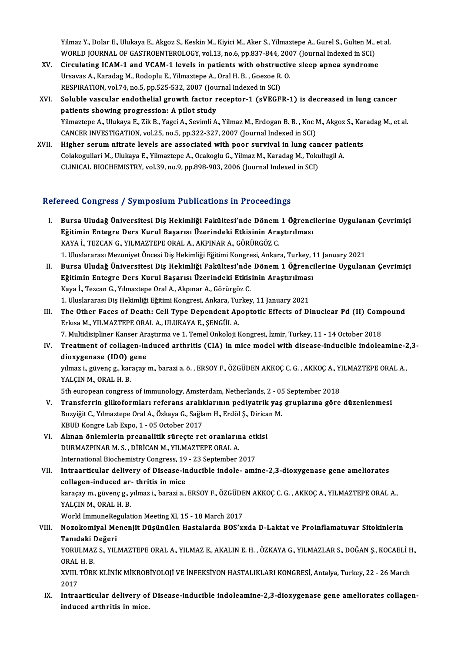Yilmaz Y., Dolar E., Ulukaya E., Akgoz S., Keskin M., Kiyici M., Aker S., Yilmaztepe A., Gurel S., Gulten M., et al.<br>WORLD JOURNAL OF CASTROFNTEROLOCY, vel 13, ne 6, np 927,944,2007 (Journal Indoved in SCI). Yilmaz Y., Dolar E., Ulukaya E., Akgoz S., Keskin M., Kiyici M., Aker S., Yilmaztepe A., Gurel S., Gulten M.,<br>WORLD JOURNAL OF GASTROENTEROLOGY, vol.13, no.6, pp.837-844, 2007 (Journal Indexed in SCI)<br>Cinculating JCAM 1 an Yilmaz Y., Dolar E., Ulukaya E., Akgoz S., Keskin M., Kiyici M., Aker S., Yilmaztepe A., Gurel S., Gulten M., e<br>WORLD JOURNAL OF GASTROENTEROLOGY, vol.13, no.6, pp.837-844, 2007 (Journal Indexed in SCI)<br>XV. Circulating ICA

- WORLD JOURNAL OF GASTROENTEROLOGY, vol.13, no.6, pp.837-844, 2007 (Journal Indexed in SCI)<br>XV. Circulating ICAM-1 and VCAM-1 levels in patients with obstructive sleep apnea syndrome Ursavas A., Karadag M., Rodoplu E., Yilmaztepe A., Oral H. B., Goezoe R. O. Ursavas A., Karadag M., Rodoplu E., Yilmaztepe A., Oral H. B. , Goezoe R. O.<br>RESPIRATION, vol.74, no.5, pp.525-532, 2007 (Journal Indexed in SCI)<br>XVI. Soluble vascular endothelial growth factor receptor-1 (sVEGFR-1) is dec
- RESPIRATION, vol.74, no.5, pp.525-532, 2007 (Journal Indexed in SCI)<br>Soluble vascular endothelial growth factor receptor-1 (sVEGFR-1) is decreased in lung cancer<br>patients showing progression: A pilot study<br>Yilmaztepe A., U Soluble vascular endothelial growth factor receptor-1 (sVEGFR-1) is decreased in lung cancer<br>patients showing progression: A pilot study<br>Yilmaztepe A., Ulukaya E., Zik B., Yagci A., Sevimli A., Yilmaz M., Erdogan B. B. , K patients showing progression: A pilot study<br>Yilmaztepe A., Ulukaya E., Zik B., Yagci A., Sevimli A., Yilmaz M., Erdogan B. B. , Koc M<br>CANCER INVESTIGATION, vol.25, no.5, pp.322-327, 2007 (Journal Indexed in SCI)<br>Higher ser Yilmaztepe A., Ulukaya E., Zik B., Yagci A., Sevimli A., Yilmaz M., Erdogan B. B. , Koc M., Akgoz S., Kar<br>CANCER INVESTIGATION, vol.25, no.5, pp.322-327, 2007 (Journal Indexed in SCI)<br>XVII. Higher serum nitrate levels are
- CANCER INVESTIGATION, vol.25, no.5, pp.322-327, 2007 (Journal Indexed in SCI)<br>Higher serum nitrate levels are associated with poor survival in lung cancer pat<br>Colakogullari M., Ulukaya E., Yilmaztepe A., Ocakoglu G., Yilma Higher serum nitrate levels are associated with poor survival in lung can<br>Colakogullari M., Ulukaya E., Yilmaztepe A., Ocakoglu G., Yilmaz M., Karadag M., Toku<br>CLINICAL BIOCHEMISTRY, vol.39, no.9, pp.898-903, 2006 (Journal

## CLINICAL BIOCHEMISTRY, vol.39, no.9, pp.898-903, 2006 (Journal Indexed in SCI)<br>Refereed Congress / Symposium Publications in Proceedings

- I. Bursa Uludağ Üniversitesi Diş Hekimliği Fakültesi'nde Dönem1 Öğrencilerine Uygulanan Çevrimiçi Eğitimin Entegre Ders Kurul Başarısı Üzerindeki Etkisinin Araştırılması<br>Eğitimin Entegre Ders Kurul Başarısı Üzerindeki Etkisinin Araştırılması<br>KAVA İ. TEZGAN G. VU MAZTERE ORAL A, AKRINAR A, GÖRÜRGÖZ G Bursa Uludağ Üniversitesi Diş Hekimliği Fakültesi'nde Dönem<br>Eğitimin Entegre Ders Kurul Başarısı Üzerindeki Etkisinin Ara<br>KAYA İ., TEZCAN G., YILMAZTEPE ORAL A., AKPINAR A., GÖRÜRGÖZ C.<br>1. Ulualararası Mazuniyat Önessi Diş Eğitimin Entegre Ders Kurul Başarısı Üzerindeki Etkisinin Araştırılması<br>KAYA İ., TEZCAN G., YILMAZTEPE ORAL A., AKPINAR A., GÖRÜRGÖZ C.<br>1. Uluslararası Mezuniyet Öncesi Diş Hekimliği Eğitimi Kongresi, Ankara, Turkey, 11 Ja KAYA İ., TEZCAN G., YILMAZTEPE ORAL A., AKPINAR A., GÖRÜRGÖZ C.<br>1. Uluslararası Mezuniyet Öncesi Diş Hekimliği Eğitimi Kongresi, Ankara, Turkey, 11 January 2021<br>1. Bursa Uludağ Üniversitesi Diş Hekimliği Fakültesi'nde
- 1. Uluslararası Mezuniyet Öncesi Diş Hekimliği Eğitimi Kongresi, Ankara, Turkey, 1<br>Bursa Uludağ Üniversitesi Diş Hekimliği Fakültesi'nde Dönem 1 Öğrenci<br>Eğitimin Entegre Ders Kurul Başarısı Üzerindeki Etkisinin Araştırılma Kaya İ., Tezcan G., Yılmaztepe Oral A., Akpınar A., Görürgöz C.<br>1. Uluslararası Diş Hekimliği Eğitimi Kongresi, Ankara, Turkey, 11 January 2021 Eğitimin Entegre Ders Kurul Başarısı Üzerindeki Etkisinin Araştırılması Kaya İ., Tezcan G., Yılmaztepe Oral A., Akpınar A., Görürgöz C.<br>1. Uluslararası Diş Hekimliği Eğitimi Kongresi, Ankara, Turkey, 11 January 2021<br>III. The Other Faces of Death: Cell Type Dependent Apoptotic Effects of Di
- 1. Uluslararası Diş Hekimliği Eğitimi Kongresi, Ankara, Turkısa M., YILMAZTEPE ORAL A., ULUKAYA E., ŞENGÜL A.<br>Erkısa M., YILMAZTEPE ORAL A., ULUKAYA E., ŞENGÜL A.<br>7. Multidicipliner Kanser Arastırma ve 1. Temel Onkaleji k The Other Faces of Death: Cell Type Dependent Apoptotic Effects of Dinuclear Pd (II) Compressional Servesson<br>Erkisa M., YILMAZTEPE ORAL A., ULUKAYA E., ŞENGÜL A.<br>7. Multidisipliner Kanser Araştırma ve 1. Temel Onkoloji Kon 7. Multidisipliner Kanser Araştırma ve 1. Temel Onkoloji Kongresi, İzmir, Turkey, 11 - 14 October 2018
- Erkısa M., YILMAZTEPE ORAL A., ULUKAYA E., ŞENGÜL A.<br>7. Multidisipliner Kanser Araştırma ve 1. Temel Onkoloji Kongresi, İzmir, Turkey, 11 14 October 2018<br>IV. Treatment of collagen-induced arthritis (CIA) in mice mode Treatment of collagen-induced arthritis (CIA) in mice model with disease-inducible indoleamine-2<br>dioxygenase (IDO) gene<br>yılmaz i., güvenç g., karaçay m., barazi a. ö. , ERSOY F., ÖZGÜDEN AKKOÇ C. G. , AKKOÇ A., YILMAZTEPE

dioxygenase (IDO) g<br>yılmaz i., güvenç g., kar<br>YALÇIN M., ORAL H. B.<br>Eth euroneen congress yılmaz i., güvenç g., karaçay m., barazi a. ö. , ERSOY F., ÖZGÜDEN AKKOÇ C. G. , AKKOÇ A., Y.<br>YALÇIN M., ORAL H. B.<br>5th european congress of immunology, Amsterdam, Netherlands, 2 - 05 September 2018<br>Transforrin slikeformla

5th european congress of immunology, Amsterdam, Netherlands, 2 - 05 September 2018

- YALÇIN M., ORAL H. B.<br>5th european congress of immunology, Amsterdam, Netherlands, 2 05 September 2018<br>7. Transferrin glikoformları referans aralıklarının pediyatrik yaş gruplarına göre düzenlenmesi<br>802yiğit C., Yılmazte KBUD Kongre Lab Expo, 1 - 05 October 2017 Bozyiğit C., Yılmaztepe Oral A., Özkaya G., Sağlam H., Erdöl Ş., Dirica<br>KBUD Kongre Lab Expo, 1 - 05 October 2017<br>VI. Alınan önlemlerin preanalitik süreçte ret oranlarına etkisi<br>DUPMAZPINAR M. S., DİRİCAN M. VII MAZTERE OR
- KBUD Kongre Lab Expo, 1 05 October 2017<br>Alınan önlemlerin preanalitik süreçte ret oranlarır<br>DURMAZPINAR M. S. , DİRİCAN M., YILMAZTEPE ORAL A.<br>International Biochemistry Congress, 19 22 September : Alınan önlemlerin preanalitik süreçte ret oranlarına etk<br>DURMAZPINAR M. S. , DİRİCAN M., YILMAZTEPE ORAL A.<br>International Biochemistry Congress, 19 - 23 September 2017<br>International delivery of Disease indusible indele, am

DURMAZPINAR M. S., DİRİCAN M., YILMAZTEPE ORAL A.<br>International Biochemistry Congress, 19 - 23 September 2017<br>VII. Intraarticular delivery of Disease-inducible indole- amine-2,3-dioxygenase gene ameliorates<br>Sellasen induse International Biochemistry Congress, 19<br>Intraarticular delivery of Disease-in<br>collagen-induced ar- thritis in mice Intraarticular delivery of Disease-inducible indole- amine-2,3-dioxygenase gene ameliorates<br>collagen-induced ar- thritis in mice<br>karaçay m., güvenç g., yılmaz i., barazi a., ERSOY F., ÖZGÜDEN AKKOÇ C. G. , AKKOÇ A., YILMAZ colla<mark>gen-induced ar</mark><br>karaçay m., güvenç g., y<br>YALÇIN M., ORAL H. B.<br>World ImmunoBogulat karaçay m., güvenç g., yılmaz i., barazi a., ERSOY F., ÖZGÜDE<br>YALÇIN M., ORAL H. B.<br>World ImmuneRegulation Meeting XI, 15 - 18 March 2017<br>Nazakamiyal Mananiit Düşünülan Hastalarda BOS'yı YALÇIN M., ORAL H. B.<br>World ImmuneRegulation Meeting XI, 15 - 18 March 2017<br>VIII. Nozokomiyal Menenjit Düşünülen Hastalarda BOS'xxda D-Laktat ve Proinflamatuvar Sitokinlerin<br> Tenideki Değeri

## World ImmuneRe<sub>!</sub><br>Nozokomiyal Me<br>Tanıdaki Değeri<br><sub>VOPIII MAZ S. VII</sub> Nozokomiyal Menenjit Düşünülen Hastalarda BOS'xxda D-Laktat ve Proinflamatuvar Sitokinlerin<br>Tanıdaki Değeri<br>YORULMAZ S., YILMAZTEPE ORAL A., YILMAZ E., AKALIN E. H. , ÖZKAYA G., YILMAZLAR S., DOĞAN Ş., KOCAELİ H.,<br>ORAL U.

Tanıdaki Değeri<br>YORULMAZ S., YILMAZTEPE ORAL A., YILMAZ E., AKALIN E. H. , ÖZKAYA G., YILMAZLAR S., DOĞAN Ş., KOCAELİ H.,<br>ORAL H. B. YORULMAZ S., YILMAZTEPE ORAL A., YILMAZ E., AKALIN E. H. , ÖZKAYA G., YILMAZLAR S., DOĞAN Ş., KOCAELİ H<br>ORAL H. B.<br>XVIII. TÜRK KLİNİK MİKROBİYOLOJİ VE İNFEKSİYON HASTALIKLARI KONGRESİ, Antalya, Turkey, 22 - 26 March<br>2017

ORAL<br>XVIII.<br>2017<br>Intres XVIII. TÜRK KLİNİK MİKROBİYOLOJİ VE İNFEKSİYON HASTALIKLARI KONGRESİ, Antalya, Turkey, 22 - 26 March<br>2017<br>IX. Intraarticular delivery of Disease-inducible indoleamine-2,3-dioxygenase gene ameliorates collagen-<br>indused arth

2017<br>IX. Intraarticular delivery of Disease-inducible indoleamine-2,3-dioxygenase gene ameliorates collagen-<br>induced arthritis in mice.